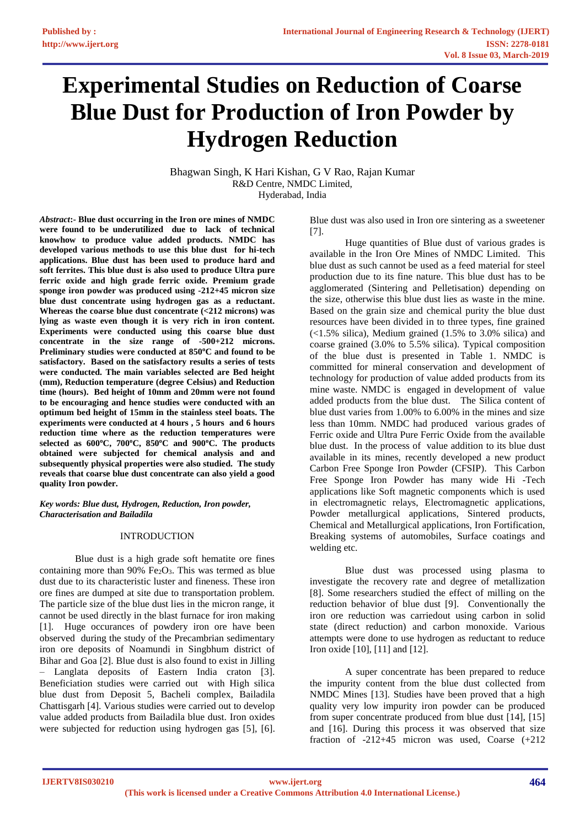# **Experimental Studies on Reduction of Coarse Blue Dust for Production of Iron Powder by Hydrogen Reduction**

Bhagwan Singh, K Hari Kishan, G V Rao, Rajan Kumar R&D Centre, NMDC Limited, Hyderabad, India

*Abstract***:- Blue dust occurring in the Iron ore mines of NMDC were found to be underutilized due to lack of technical knowhow to produce value added products. NMDC has developed various methods to use this blue dust for hi-tech applications. Blue dust has been used to produce hard and soft ferrites. This blue dust is also used to produce Ultra pure ferric oxide and high grade ferric oxide. Premium grade sponge iron powder was produced using -212+45 micron size blue dust concentrate using hydrogen gas as a reductant. Whereas the coarse blue dust concentrate (<212 microns) was lying as waste even though it is very rich in iron content. Experiments were conducted using this coarse blue dust concentrate in the size range of -500+212 microns. Preliminary studies were conducted at 850<sup>o</sup>C and found to be satisfactory. Based on the satisfactory results a series of tests were conducted. The main variables selected are Bed height (mm), Reduction temperature (degree Celsius) and Reduction time (hours). Bed height of 10mm and 20mm were not found to be encouraging and hence studies were conducted with an optimum bed height of 15mm in the stainless steel boats. The experiments were conducted at 4 hours , 5 hours and 6 hours reduction time where as the reduction temperatures were selected as 600<sup>o</sup>C, 700<sup>o</sup>C, 850<sup>o</sup>C and 900<sup>o</sup>C. The products obtained were subjected for chemical analysis and and subsequently physical properties were also studied. The study reveals that coarse blue dust concentrate can also yield a good quality Iron powder.**

*Key words: Blue dust, Hydrogen, Reduction, Iron powder, Characterisation and Bailadila*

# INTRODUCTION

Blue dust is a high grade soft hematite ore fines containing more than  $90\%$  Fe<sub>2</sub>O<sub>3</sub>. This was termed as blue dust due to its characteristic luster and fineness. These iron ore fines are dumped at site due to transportation problem. The particle size of the blue dust lies in the micron range, it cannot be used directly in the blast furnace for iron making [1]. Huge occurances of powdery iron ore have been observed during the study of the Precambrian sedimentary iron ore deposits of Noamundi in Singbhum district of Bihar and Goa [2]. Blue dust is also found to exist in Jilling – Langlata deposits of Eastern India craton [3]. Beneficiation studies were carried out with High silica blue dust from Deposit 5, Bacheli complex, Bailadila Chattisgarh [4]. Various studies were carried out to develop value added products from Bailadila blue dust. Iron oxides were subjected for reduction using hydrogen gas [5], [6].

Blue dust was also used in Iron ore sintering as a sweetener [7].

Huge quantities of Blue dust of various grades is available in the Iron Ore Mines of NMDC Limited. This blue dust as such cannot be used as a feed material for steel production due to its fine nature. This blue dust has to be agglomerated (Sintering and Pelletisation) depending on the size, otherwise this blue dust lies as waste in the mine. Based on the grain size and chemical purity the blue dust resources have been divided in to three types, fine grained  $\left($ <1.5% silica), Medium grained (1.5% to 3.0% silica) and coarse grained (3.0% to 5.5% silica). Typical composition of the blue dust is presented in Table 1. NMDC is committed for mineral conservation and development of technology for production of value added products from its mine waste. NMDC is engaged in development of value added products from the blue dust. The Silica content of blue dust varies from 1.00% to 6.00% in the mines and size less than 10mm. NMDC had produced various grades of Ferric oxide and Ultra Pure Ferric Oxide from the available blue dust. In the process of value addition to its blue dust available in its mines, recently developed a new product Carbon Free Sponge Iron Powder (CFSIP). This Carbon Free Sponge Iron Powder has many wide Hi -Tech applications like Soft magnetic components which is used in electromagnetic relays, Electromagnetic applications, Powder metallurgical applications, Sintered products, Chemical and Metallurgical applications, Iron Fortification, Breaking systems of automobiles, Surface coatings and welding etc.

Blue dust was processed using plasma to investigate the recovery rate and degree of metallization [8]. Some researchers studied the effect of milling on the reduction behavior of blue dust [9]. Conventionally the iron ore reduction was carriedout using carbon in solid state (direct reduction) and carbon monoxide. Various attempts were done to use hydrogen as reductant to reduce Iron oxide [10], [11] and [12].

A super concentrate has been prepared to reduce the impurity content from the blue dust collected from NMDC Mines [13]. Studies have been proved that a high quality very low impurity iron powder can be produced from super concentrate produced from blue dust [14], [15] and [16]. During this process it was observed that size fraction of -212+45 micron was used, Coarse (+212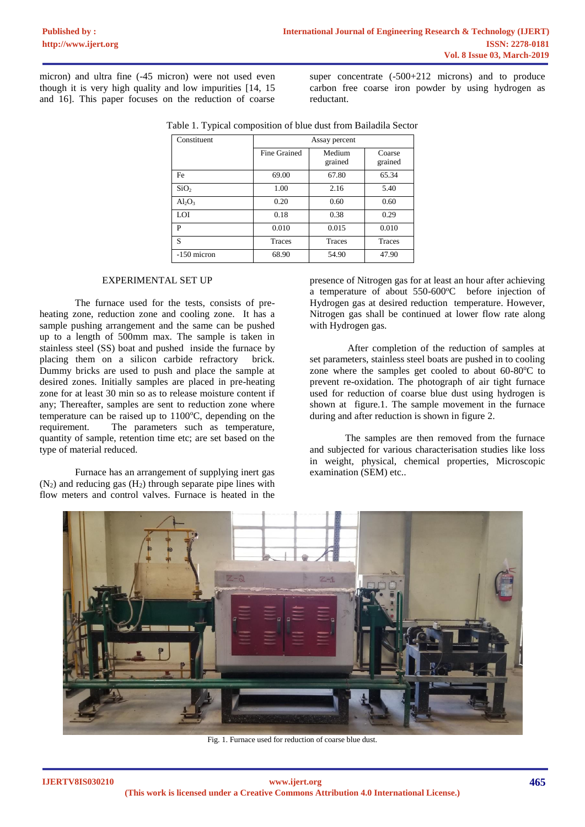micron) and ultra fine (-45 micron) were not used even though it is very high quality and low impurities [14, 15 and 16]. This paper focuses on the reduction of coarse

super concentrate  $(-500+212)$  microns) and to produce carbon free coarse iron powder by using hydrogen as reductant.

| Constituent      | Assay percent |                   |                   |
|------------------|---------------|-------------------|-------------------|
|                  | Fine Grained  | Medium<br>grained | Coarse<br>grained |
| Fe               | 69.00         | 67.80             | 65.34             |
| SiO <sub>2</sub> | 1.00          | 2.16              | 5.40              |
| $Al_2O_3$        | 0.20          | 0.60              | 0.60              |
| <b>LOI</b>       | 0.18          | 0.38              | 0.29              |
| P                | 0.010         | 0.015             | 0.010             |
| S                | Traces        | <b>Traces</b>     | Traces            |
| -150 micron      | 68.90         | 54.90             | 47.90             |

|  | Table 1. Typical composition of blue dust from Bailadila Sector |  |  |
|--|-----------------------------------------------------------------|--|--|

### EXPERIMENTAL SET UP

The furnace used for the tests, consists of preheating zone, reduction zone and cooling zone. It has a sample pushing arrangement and the same can be pushed up to a length of 500mm max. The sample is taken in stainless steel (SS) boat and pushed inside the furnace by placing them on a silicon carbide refractory brick. Dummy bricks are used to push and place the sample at desired zones. Initially samples are placed in pre-heating zone for at least 30 min so as to release moisture content if any; Thereafter, samples are sent to reduction zone where temperature can be raised up to  $1100\degree C$ , depending on the requirement. The parameters such as temperature, quantity of sample, retention time etc; are set based on the type of material reduced.

Furnace has an arrangement of supplying inert gas  $(N_2)$  and reducing gas  $(H_2)$  through separate pipe lines with flow meters and control valves. Furnace is heated in the presence of Nitrogen gas for at least an hour after achieving a temperature of about  $550-600^{\circ}$ C before injection of Hydrogen gas at desired reduction temperature. However, Nitrogen gas shall be continued at lower flow rate along with Hydrogen gas.

After completion of the reduction of samples at set parameters, stainless steel boats are pushed in to cooling zone where the samples get cooled to about  $60-80^{\circ}$ C to prevent re-oxidation. The photograph of air tight furnace used for reduction of coarse blue dust using hydrogen is shown at figure.1. The sample movement in the furnace during and after reduction is shown in figure 2.

The samples are then removed from the furnace and subjected for various characterisation studies like loss in weight, physical, chemical properties, Microscopic examination (SEM) etc..



Fig. 1. Furnace used for reduction of coarse blue dust.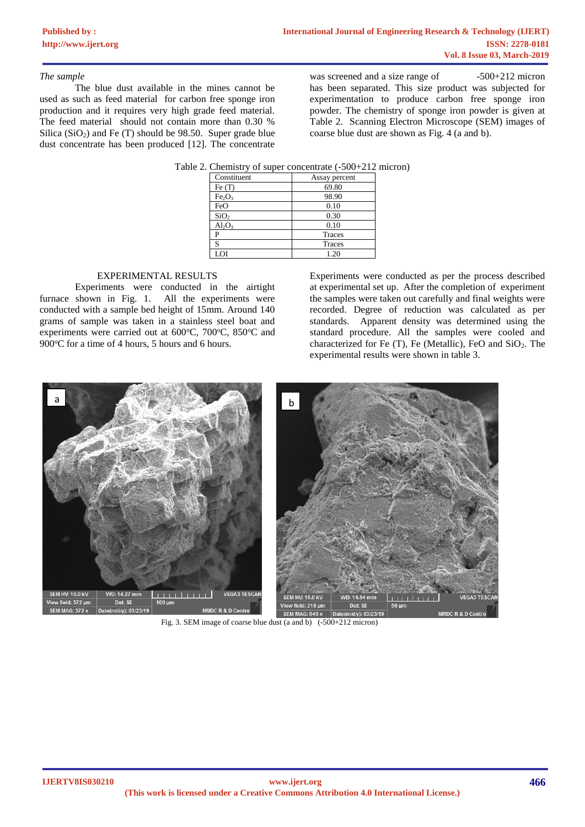### *The sample*

The blue dust available in the mines cannot be used as such as feed material for carbon free sponge iron production and it requires very high grade feed material. The feed material should not contain more than 0.30 % Silica  $(SiO<sub>2</sub>)$  and Fe  $(T)$  should be 98.50. Super grade blue dust concentrate has been produced [12]. The concentrate

was screened and a size range of  $-500+212$  micron has been separated. This size product was subjected for experimentation to produce carbon free sponge iron powder. The chemistry of sponge iron powder is given at Table 2. Scanning Electron Microscope (SEM) images of coarse blue dust are shown as Fig. 4 (a and b).

|  |  | Table 2. Chemistry of super concentrate (-500+212 micron) |
|--|--|-----------------------------------------------------------|
|  |  |                                                           |

| Constituent                    | Assay percent |
|--------------------------------|---------------|
| Fe $(T)$                       | 69.80         |
| Fe <sub>2</sub> O <sub>3</sub> | 98.90         |
| FeO                            | 0.10          |
| SiO <sub>2</sub>               | 0.30          |
| $Al_2O_3$                      | 0.10          |
| P                              | Traces        |
| S                              | <b>Traces</b> |
| LOI                            | 1.20          |

# EXPERIMENTAL RESULTS

Experiments were conducted in the airtight furnace shown in Fig. 1. All the experiments were conducted with a sample bed height of 15mm. Around 140 grams of sample was taken in a stainless steel boat and experiments were carried out at 600°C, 700°C, 850°C and 900°C for a time of 4 hours, 5 hours and 6 hours.

Experiments were conducted as per the process described at experimental set up. After the completion of experiment the samples were taken out carefully and final weights were recorded. Degree of reduction was calculated as per standards. Apparent density was determined using the standard procedure. All the samples were cooled and characterized for Fe  $(T)$ , Fe (Metallic), FeO and SiO<sub>2</sub>. The experimental results were shown in table 3.



Fig. 3. SEM image of coarse blue dust (a and b) (-500+212 micron)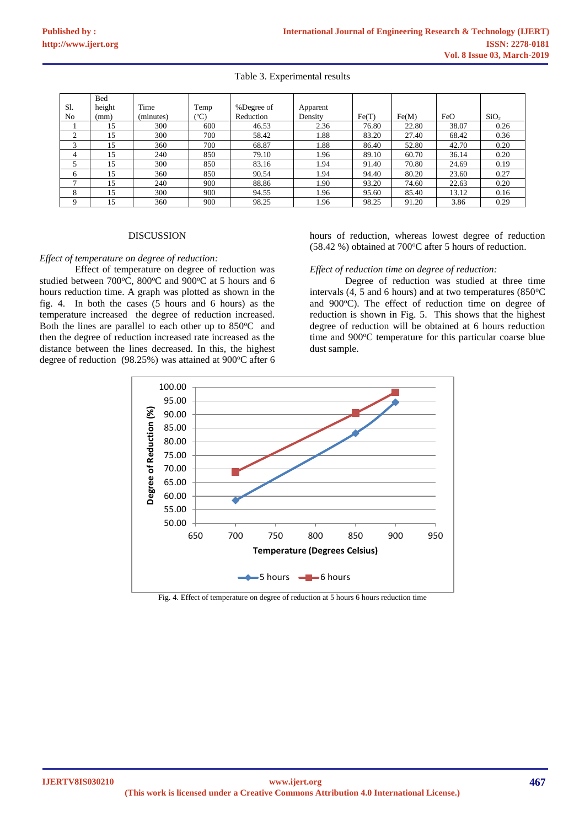### Table 3. Experimental results

| S1. | Bed<br>height | Time      | Temp      | %Degree of |                     |       |       |       |                  |
|-----|---------------|-----------|-----------|------------|---------------------|-------|-------|-------|------------------|
| No  | (mm)          | (minutes) | $({}^oC)$ | Reduction  | Apparent<br>Density | Fe(T) | Fe(M) | FeO   | SiO <sub>2</sub> |
|     |               |           |           |            |                     |       |       |       |                  |
|     | 15            | 300       | 600       | 46.53      | 2.36                | 76.80 | 22.80 | 38.07 | 0.26             |
| ◠   | 15            | 300       | 700       | 58.42      | 1.88                | 83.20 | 27.40 | 68.42 | 0.36             |
| 3   | 15            | 360       | 700       | 68.87      | 1.88                | 86.40 | 52.80 | 42.70 | 0.20             |
| 4   | 15            | 240       | 850       | 79.10      | 1.96                | 89.10 | 60.70 | 36.14 | 0.20             |
|     | 15            | 300       | 850       | 83.16      | 1.94                | 91.40 | 70.80 | 24.69 | 0.19             |
| 6   | 15            | 360       | 850       | 90.54      | 1.94                | 94.40 | 80.20 | 23.60 | 0.27             |
|     | 15            | 240       | 900       | 88.86      | 1.90                | 93.20 | 74.60 | 22.63 | 0.20             |
| 8   | 15            | 300       | 900       | 94.55      | 1.96                | 95.60 | 85.40 | 13.12 | 0.16             |
| Q   | 15            | 360       | 900       | 98.25      | 1.96                | 98.25 | 91.20 | 3.86  | 0.29             |

#### **DISCUSSION**

#### *Effect of temperature on degree of reduction:*

Effect of temperature on degree of reduction was studied between 700 $^{\circ}$ C, 800 $^{\circ}$ C and 900 $^{\circ}$ C at 5 hours and 6 hours reduction time. A graph was plotted as shown in the fig. 4. In both the cases (5 hours and 6 hours) as the temperature increased the degree of reduction increased. Both the lines are parallel to each other up to 850°C and then the degree of reduction increased rate increased as the distance between the lines decreased. In this, the highest degree of reduction  $(98.25%)$  was attained at  $900°C$  after 6 hours of reduction, whereas lowest degree of reduction  $(58.42 \%)$  obtained at  $700^{\circ}$ C after 5 hours of reduction.

#### *Effect of reduction time on degree of reduction:*

Degree of reduction was studied at three time intervals  $(4, 5 \text{ and } 6 \text{ hours})$  and at two temperatures  $(850^{\circ}$ C and 900°C). The effect of reduction time on degree of reduction is shown in Fig. 5. This shows that the highest degree of reduction will be obtained at 6 hours reduction time and 900°C temperature for this particular coarse blue dust sample.



Fig. 4. Effect of temperature on degree of reduction at 5 hours 6 hours reduction time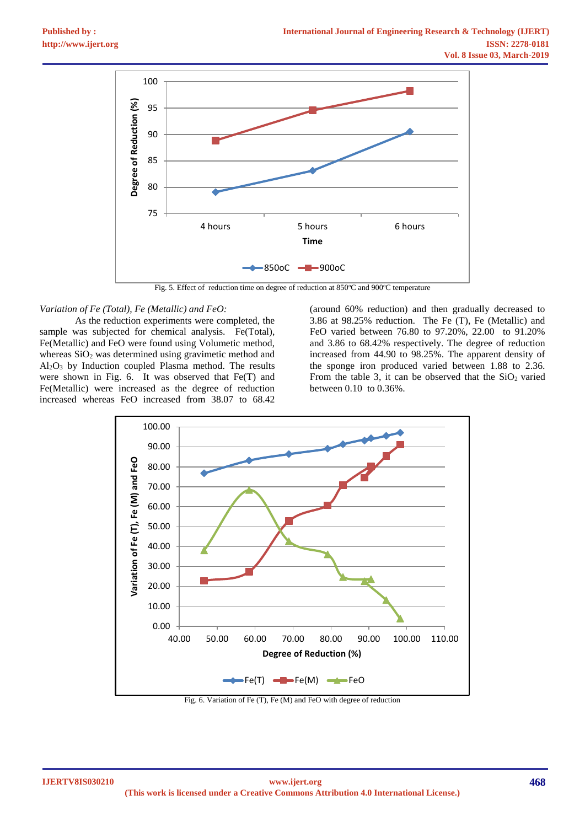

Fig. 5. Effect of reduction time on degree of reduction at  $850^{\circ}$ C and  $900^{\circ}$ C temperature

#### *Variation of Fe (Total), Fe (Metallic) and FeO:*

As the reduction experiments were completed, the sample was subjected for chemical analysis. Fe(Total), Fe(Metallic) and FeO were found using Volumetic method, whereas  $SiO<sub>2</sub>$  was determined using gravimetic method and Al2O<sup>3</sup> by Induction coupled Plasma method. The results were shown in Fig. 6. It was observed that Fe(T) and Fe(Metallic) were increased as the degree of reduction increased whereas FeO increased from 38.07 to 68.42

(around 60% reduction) and then gradually decreased to 3.86 at 98.25% reduction. The Fe (T), Fe (Metallic) and FeO varied between 76.80 to 97.20%, 22.00 to 91.20% and 3.86 to 68.42% respectively. The degree of reduction increased from 44.90 to 98.25%. The apparent density of the sponge iron produced varied between 1.88 to 2.36. From the table 3, it can be observed that the  $SiO<sub>2</sub>$  varied between 0.10 to 0.36%.



Fig. 6. Variation of Fe (T), Fe (M) and FeO with degree of reduction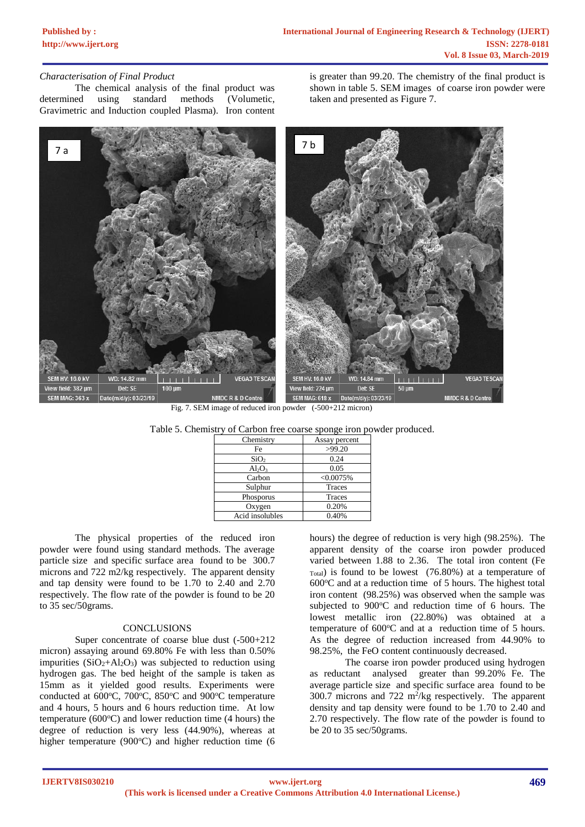# **[Published by :](www.ijert.org)**

## *Characterisation of Final Product*

The chemical analysis of the final product was determined using standard methods (Volumetic, Gravimetric and Induction coupled Plasma). Iron content is greater than 99.20. The chemistry of the final product is shown in table 5. SEM images of coarse iron powder were taken and presented as Figure 7.



| Fig. 7. SEM image of reduced iron powder $(-500+212 \text{ micron})$ |  |
|----------------------------------------------------------------------|--|
|----------------------------------------------------------------------|--|

| Table 5. Chemistry of Carbon free coarse sponge iron powder produced. |  |
|-----------------------------------------------------------------------|--|
|                                                                       |  |

| Chemistry        | Assay percent |
|------------------|---------------|
| Fe               | >99.20        |
| SiO <sub>2</sub> | 0.24          |
| $Al_2O_3$        | 0.05          |
| Carbon           | < 0.0075%     |
| Sulphur          | Traces        |
| Phosporus        | <b>Traces</b> |
| Oxygen           | 0.20%         |
| Acid insolubles  | 0.40%         |

The physical properties of the reduced iron powder were found using standard methods. The average particle size and specific surface area found to be 300.7 microns and 722 m2/kg respectively. The apparent density and tap density were found to be 1.70 to 2.40 and 2.70 respectively. The flow rate of the powder is found to be 20 to 35 sec/50grams.

#### **CONCLUSIONS**

Super concentrate of coarse blue dust (-500+212 micron) assaying around 69.80% Fe with less than 0.50% impurities  $(SiO<sub>2</sub>+Al<sub>2</sub>O<sub>3</sub>)$  was subjected to reduction using hydrogen gas. The bed height of the sample is taken as 15mm as it yielded good results. Experiments were conducted at  $600^{\circ}$ C,  $700^{\circ}$ C,  $850^{\circ}$ C and  $900^{\circ}$ C temperature and 4 hours, 5 hours and 6 hours reduction time. At low temperature (600 $^{\circ}$ C) and lower reduction time (4 hours) the degree of reduction is very less (44.90%), whereas at higher temperature (900 $\degree$ C) and higher reduction time (6

hours) the degree of reduction is very high (98.25%). The apparent density of the coarse iron powder produced varied between 1.88 to 2.36. The total iron content (Fe  $_{\text{Total}}$ ) is found to be lowest (76.80%) at a temperature of  $600^{\circ}$ C and at a reduction time of 5 hours. The highest total iron content (98.25%) was observed when the sample was subjected to 900°C and reduction time of 6 hours. The lowest metallic iron (22.80%) was obtained at a temperature of  $600^{\circ}$ C and at a reduction time of 5 hours. As the degree of reduction increased from 44.90% to 98.25%, the FeO content continuously decreased.

The coarse iron powder produced using hydrogen as reductant analysed greater than 99.20% Fe. The average particle size and specific surface area found to be 300.7 microns and  $722 \text{ m}^2/\text{kg}$  respectively. The apparent density and tap density were found to be 1.70 to 2.40 and 2.70 respectively. The flow rate of the powder is found to be 20 to 35 sec/50grams.